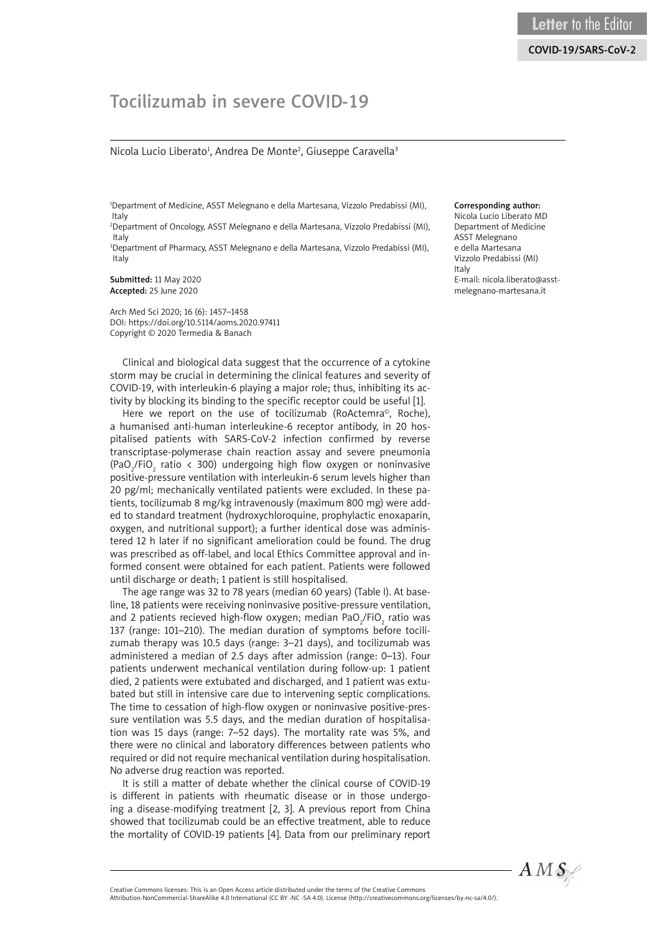# Tocilizumab in severe COVID-19

#### Nicola Lucio Liberato<sup>1</sup>, Andrea De Monte<sup>2</sup>, Giuseppe Caravella<sup>3</sup>

1 Department of Medicine, ASST Melegnano e della Martesana, Vizzolo Predabissi (MI), Italy

2 Department of Oncology, ASST Melegnano e della Martesana, Vizzolo Predabissi (MI), Italy

3 Department of Pharmacy, ASST Melegnano e della Martesana, Vizzolo Predabissi (MI), Italy

Submitted: 11 May 2020 Accepted: 25 June 2020

Arch Med Sci 2020; 16 (6): 1457–1458 DOI: https://doi.org/10.5114/aoms.2020.97411 Copyright © 2020 Termedia & Banach

Clinical and biological data suggest that the occurrence of a cytokine storm may be crucial in determining the clinical features and severity of COVID-19, with interleukin-6 playing a major role; thus, inhibiting its activity by blocking its binding to the specific receptor could be useful [1].

Here we report on the use of tocilizumab (RoActemra<sup>®</sup>, Roche), a humanised anti-human interleukine-6 receptor antibody, in 20 hospitalised patients with SARS-CoV-2 infection confirmed by reverse transcriptase-polymerase chain reaction assay and severe pneumonia (PaO<sub>2</sub>/FiO<sub>2</sub> ratio < 300) undergoing high flow oxygen or noninvasive positive-pressure ventilation with interleukin-6 serum levels higher than 20 pg/ml; mechanically ventilated patients were excluded. In these patients, tocilizumab 8 mg/kg intravenously (maximum 800 mg) were added to standard treatment (hydroxychloroquine, prophylactic enoxaparin, oxygen, and nutritional support); a further identical dose was administered 12 h later if no significant amelioration could be found. The drug was prescribed as off-label, and local Ethics Committee approval and informed consent were obtained for each patient. Patients were followed until discharge or death; 1 patient is still hospitalised.

The age range was 32 to 78 years (median 60 years) (Table I). At baseline, 18 patients were receiving noninvasive positive-pressure ventilation, and 2 patients recieved high-flow oxygen; median PaO $_2^{}$ /FiO $_2^{}$  ratio was 137 (range: 101–210). The median duration of symptoms before tocilizumab therapy was 10.5 days (range: 3–21 days), and tocilizumab was administered a median of 2.5 days after admission (range: 0–13). Four patients underwent mechanical ventilation during follow-up: 1 patient died, 2 patients were extubated and discharged, and 1 patient was extubated but still in intensive care due to intervening septic complications. The time to cessation of high-flow oxygen or noninvasive positive-pressure ventilation was 5.5 days, and the median duration of hospitalisation was 15 days (range: 7–52 days). The mortality rate was 5%, and there were no clinical and laboratory differences between patients who required or did not require mechanical ventilation during hospitalisation. No adverse drug reaction was reported.

It is still a matter of debate whether the clinical course of COVID-19 is different in patients with rheumatic disease or in those undergoing a disease-modifying treatment [2, 3]. A previous report from China showed that tocilizumab could be an effective treatment, able to reduce the mortality of COVID-19 patients [4]. Data from our preliminary report

#### Corresponding author:

Nicola Lucio Liberato MD Department of Medicine ASST Melegnano e della Martesana Vizzolo Predabissi (MI) Italy E-mail: nicola.liberato@asstmelegnano-martesana.it



Attribution-NonCommercial-ShareAlike 4.0 International (CC BY -NC -SA 4.0). License (http://creativecommons.org/licenses/by-nc-sa/4.0/).

Creative Commons licenses: This is an Open Access article distributed under the terms of the Creative Commons